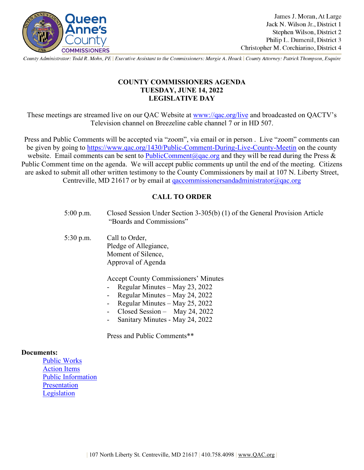

County Administrator: Todd R. Mohn, PE | Executive Assistant to the Commissioners: Margie A. Houck | County Attorney: Patrick Thompson, Esquire

## **COUNTY COMMISSIONERS AGENDA TUESDAY, JUNE 14, 2022 LEGISLATIVE DAY**

These meetings are streamed live on our QAC Website at [www://qac.org/live](https://qac.org/live) and broadcasted on QACTV's Television channel on Breezeline cable channel 7 or in HD 507.

Press and Public Comments will be accepted via "zoom", via email or in person . Live "zoom" comments can be given by going to<https://www.qac.org/1430/Public-Comment-During-Live-County-Meetin> on the county website. Email comments can be sent to [PublicComment@qac.org](mailto:PublicComment@qac.org) and they will be read during the Press & Public Comment time on the agenda. We will accept public comments up until the end of the meeting. Citizens are asked to submit all other written testimony to the County Commissioners by mail at 107 N. Liberty Street, Centreville, MD 21617 or by email at [qaccommissionersandadministrator@qac.org](mailto:qaccommissionersandadministrator@qac.org)

# **CALL TO ORDER**

|                   | $5:00$ p.m. | Closed Session Under Section 3-305(b) (1) of the General Provision Article<br>"Boards and Commissions"                                                                                                                |
|-------------------|-------------|-----------------------------------------------------------------------------------------------------------------------------------------------------------------------------------------------------------------------|
|                   | $5:30$ p.m. | Call to Order,<br>Pledge of Allegiance,<br>Moment of Silence,<br>Approval of Agenda                                                                                                                                   |
|                   |             | <b>Accept County Commissioners' Minutes</b><br>Regular Minutes – May 23, 2022<br>Regular Minutes – May 24, 2022<br>Regular Minutes – May 25, 2022<br>Closed Session - May 24, 2022<br>Sanitary Minutes - May 24, 2022 |
|                   |             | Press and Public Comments**                                                                                                                                                                                           |
| <b>Documents:</b> |             |                                                                                                                                                                                                                       |

[Public Works](https://www.qac.org/DocumentCenter/View/16560/Public-Works-61422) [Action Items](https://www.qac.org/DocumentCenter/View/16561/Action-Items-61422) [Public Information](https://www.qac.org/DocumentCenter/View/16562/Public-Information-61422) [Presentation](https://www.qac.org/DocumentCenter/View/16563/Presentation-61422) [Legislation](https://www.qac.org/DocumentCenter/View/16564/Legislative-61422)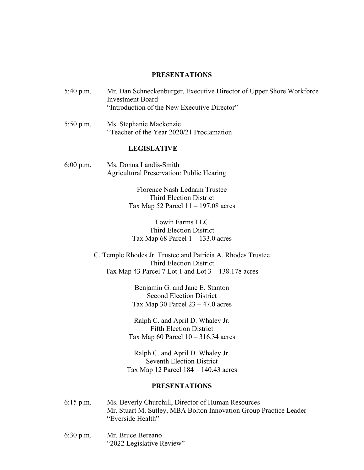#### **PRESENTATIONS**

5:40 p.m. Mr. Dan Schneckenburger, Executive Director of Upper Shore Workforce Investment Board "Introduction of the New Executive Director"

5:50 p.m. Ms. Stephanie Mackenzie "Teacher of the Year 2020/21 Proclamation

## **LEGISLATIVE**

6:00 p.m. Ms. Donna Landis-Smith Agricultural Preservation: Public Hearing

> Florence Nash Lednam Trustee Third Election District Tax Map 52 Parcel  $11 - 197.08$  acres

Lowin Farms LLC Third Election District Tax Map  $68$  Parcel  $1 - 133.0$  acres

C. Temple Rhodes Jr. Trustee and Patricia A. Rhodes Trustee Third Election District Tax Map 43 Parcel 7 Lot 1 and Lot  $3 - 138.178$  acres

> Benjamin G. and Jane E. Stanton Second Election District Tax Map 30 Parcel  $23 - 47.0$  acres

Ralph C. and April D. Whaley Jr. Fifth Election District Tax Map 60 Parcel  $10 - 316.34$  acres

Ralph C. and April D. Whaley Jr. Seventh Election District Tax Map 12 Parcel 184 – 140.43 acres

## **PRESENTATIONS**

- 6:15 p.m. Ms. Beverly Churchill, Director of Human Resources Mr. Stuart M. Sutley, MBA Bolton Innovation Group Practice Leader "Everside Health"
- 6:30 p.m. Mr. Bruce Bereano "2022 Legislative Review"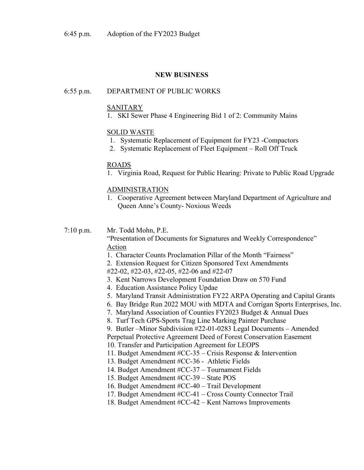## **NEW BUSINESS**

## 6:55 p.m. DEPARTMENT OF PUBLIC WORKS

### SANITARY

1. SKI Sewer Phase 4 Engineering Bid 1 of 2: Community Mains

## SOLID WASTE

- 1. Systematic Replacement of Equipment for FY23 -Compactors
- 2. Systematic Replacement of Fleet Equipment Roll Off Truck

## ROADS

1. Virginia Road, Request for Public Hearing: Private to Public Road Upgrade

#### ADMINISTRATION

1. Cooperative Agreement between Maryland Department of Agriculture and Queen Anne's County- Noxious Weeds

7:10 p.m. Mr. Todd Mohn, P.E.

"Presentation of Documents for Signatures and Weekly Correspondence" Action

- 1. Character Counts Proclamation Pillar of the Month "Fairness"
- 2. Extension Request for Citizen Sponsored Text Amendments
- #22-02, #22-03, #22-05, #22-06 and #22-07
- 3. Kent Narrows Development Foundation Draw on 570 Fund
- 4. Education Assistance Policy Updae
- 5. Maryland Transit Administration FY22 ARPA Operating and Capital Grants
- 6. Bay Bridge Run 2022 MOU with MDTA and Corrigan Sports Enterprises, Inc.
- 7. Maryland Association of Counties FY2023 Budget & Annual Dues
- 8. Turf Tech GPS-Sports Trag Line Marking Painter Purchase
- 9. Butler –Minor Subdivision #22-01-0283 Legal Documents Amended

Perpetual Protective Agreement Deed of Forest Conservation Easement

- 10. Transfer and Participation Agreement for LEOPS
- 11. Budget Amendment #CC-35 Crisis Response & Intervention
- 13. Budget Amendment #CC-36 Athletic Fields
- 14. Budget Amendment #CC-37 Tournament Fields
- 15. Budget Amendment #CC-39 State POS
- 16. Budget Amendment #CC-40 Trail Development
- 17. Budget Amendment #CC-41 Cross County Connector Trail
- 18. Budget Amendment #CC-42 Kent Narrows Improvements